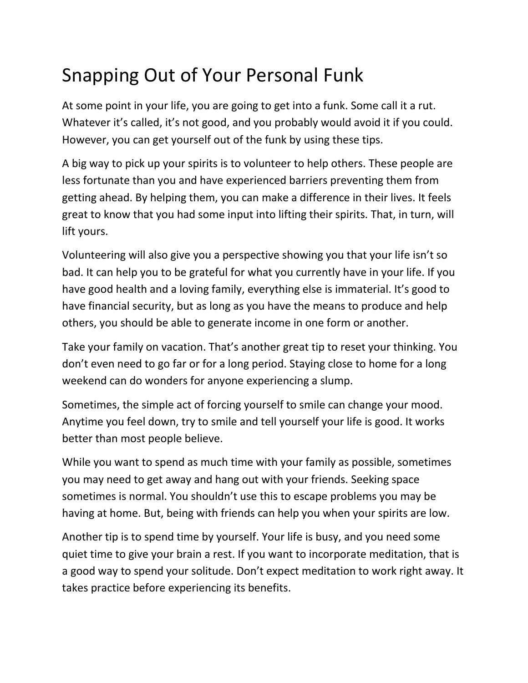## Snapping Out of Your Personal Funk

At some point in your life, you are going to get into a funk. Some call it a rut. Whatever it's called, it's not good, and you probably would avoid it if you could. However, you can get yourself out of the funk by using these tips.

A big way to pick up your spirits is to volunteer to help others. These people are less fortunate than you and have experienced barriers preventing them from getting ahead. By helping them, you can make a difference in their lives. It feels great to know that you had some input into lifting their spirits. That, in turn, will lift yours.

Volunteering will also give you a perspective showing you that your life isn't so bad. It can help you to be grateful for what you currently have in your life. If you have good health and a loving family, everything else is immaterial. It's good to have financial security, but as long as you have the means to produce and help others, you should be able to generate income in one form or another.

Take your family on vacation. That's another great tip to reset your thinking. You don't even need to go far or for a long period. Staying close to home for a long weekend can do wonders for anyone experiencing a slump.

Sometimes, the simple act of forcing yourself to smile can change your mood. Anytime you feel down, try to smile and tell yourself your life is good. It works better than most people believe.

While you want to spend as much time with your family as possible, sometimes you may need to get away and hang out with your friends. Seeking space sometimes is normal. You shouldn't use this to escape problems you may be having at home. But, being with friends can help you when your spirits are low.

Another tip is to spend time by yourself. Your life is busy, and you need some quiet time to give your brain a rest. If you want to incorporate meditation, that is a good way to spend your solitude. Don't expect meditation to work right away. It takes practice before experiencing its benefits.